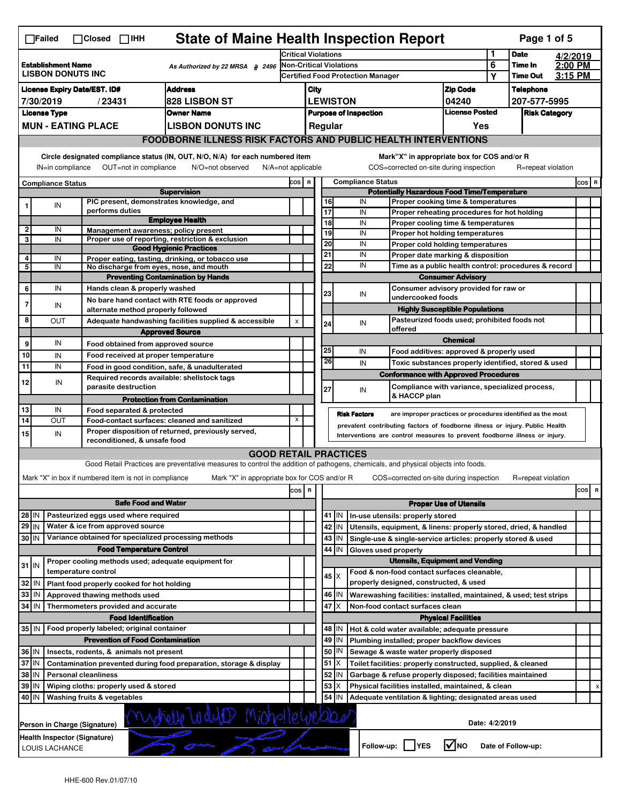| 1<br><b>Date</b><br><b>Critical Violations</b><br>4/2/2019<br>6<br>2:00 PM<br>Non-Critical Violations<br><b>Establishment Name</b><br>Time In<br>As Authorized by 22 MRSA $$2496$<br><b>LISBON DONUTS INC</b><br>3:15 PM<br><b>Time Out</b><br><b>Certified Food Protection Manager</b><br>Υ<br><b>Address</b><br><b>Zip Code</b><br><b>License Expiry Date/EST. ID#</b><br>City<br><b>Telephone</b><br><b>828 LISBON ST</b><br><b>LEWISTON</b><br>04240<br>7/30/2019<br>/23431<br>207-577-5995<br><b>License Posted</b><br><b>License Type</b><br><b>Owner Name</b><br><b>Purpose of Inspection</b><br><b>Risk Category</b><br><b>MUN - EATING PLACE</b><br><b>LISBON DONUTS INC</b><br>Regular<br>Yes<br><b>FOODBORNE ILLNESS RISK FACTORS AND PUBLIC HEALTH INTERVENTIONS</b><br>Circle designated compliance status (IN, OUT, N/O, N/A) for each numbered item<br>Mark"X" in appropriate box for COS and/or R<br>OUT=not in compliance<br>N/A=not applicable<br>COS=corrected on-site during inspection<br>IN=in compliance<br>N/O=not observed<br>R=repeat violation<br><b>Compliance Status</b><br>COS R<br>COS R<br><b>Compliance Status</b><br><b>Potentially Hazardous Food Time/Temperature</b><br><b>Supervision</b><br>PIC present, demonstrates knowledge, and<br>IN<br>16<br>Proper cooking time & temperatures<br>IN<br>1<br>performs duties<br>17<br>IN<br>Proper reheating procedures for hot holding<br><b>Employee Health</b><br>18<br>IN<br>Proper cooling time & temperatures<br>$\overline{2}$<br>IN<br>Management awareness; policy present<br>19<br>IN<br>Proper hot holding temperatures<br>3<br>Proper use of reporting, restriction & exclusion<br>IN<br>20<br>IN<br>Proper cold holding temperatures<br><b>Good Hygienic Practices</b><br>21<br>IN<br>Proper date marking & disposition<br>4<br>IN<br>Proper eating, tasting, drinking, or tobacco use<br>22<br>IN<br>Time as a public health control: procedures & record<br>5<br>IN<br>No discharge from eyes, nose, and mouth<br><b>Preventing Contamination by Hands</b><br><b>Consumer Advisory</b><br>IN<br>Consumer advisory provided for raw or<br>6<br>Hands clean & properly washed<br>23<br>IN<br>undercooked foods<br>No bare hand contact with RTE foods or approved<br>$\overline{7}$<br>IN<br><b>Highly Susceptible Populations</b><br>alternate method properly followed<br>8<br>Pasteurized foods used; prohibited foods not<br>ΟUΤ<br>Adequate handwashing facilities supplied & accessible<br>X<br>24<br>IN<br>offered<br><b>Approved Source</b><br><b>Chemical</b><br>IN<br>9<br>Food obtained from approved source<br>25<br>IN<br>Food additives: approved & properly used<br>10<br>IN<br>Food received at proper temperature<br>26<br>IN<br>Toxic substances properly identified, stored & used<br>11<br>IN<br>Food in good condition, safe, & unadulterated<br><b>Conformance with Approved Procedures</b><br>Required records available: shellstock tags<br>IN<br>parasite destruction<br>Compliance with variance, specialized process,<br>27<br>IN<br>& HACCP plan<br><b>Protection from Contamination</b><br>13<br>IN<br>Food separated & protected<br><b>Risk Factors</b><br>are improper practices or procedures identified as the most<br>14<br>X<br>OUT<br>Food-contact surfaces: cleaned and sanitized<br>prevalent contributing factors of foodborne illness or injury. Public Health<br>Proper disposition of returned, previously served,<br>IN<br>Interventions are control measures to prevent foodborne illness or injury.<br>reconditioned, & unsafe food<br><b>GOOD RETAIL PRACTICES</b><br>Good Retail Practices are preventative measures to control the addition of pathogens, chemicals, and physical objects into foods.<br>Mark "X" in box if numbered item is not in compliance<br>Mark "X" in appropriate box for COS and/or R<br>COS=corrected on-site during inspection<br>R=repeat violation<br>$\,$ R<br>cos<br>R<br>cos  <br><b>Safe Food and Water</b><br><b>Proper Use of Utensils</b><br>Pasteurized eggs used where required<br>28 IN<br>41 J IN<br>In-use utensils: properly stored<br>Water & ice from approved source<br>$29$ IN<br>42<br>Utensils, equipment, & linens: properly stored, dried, & handled<br>IN<br>Variance obtained for specialized processing methods<br>30 IN<br>43   IN<br>Single-use & single-service articles: properly stored & used<br><b>Food Temperature Control</b><br>44 IN<br>Gloves used properly<br><b>Utensils, Equipment and Vending</b><br>Proper cooling methods used; adequate equipment for<br>$31$ IN<br>temperature control<br>Food & non-food contact surfaces cleanable,<br>$45 \times$<br>properly designed, constructed, & used<br>Plant food properly cooked for hot holding<br>  IN<br>46   IN<br>IN<br>Approved thawing methods used<br>Warewashing facilities: installed, maintained, & used; test strips<br>47<br>X<br>IN<br>Thermometers provided and accurate<br>Non-food contact surfaces clean<br><b>Food Identification</b><br><b>Physical Facilities</b><br>35 IN   Food properly labeled; original container<br>48   IN<br>Hot & cold water available; adequate pressure<br>49 IN<br><b>Prevention of Food Contamination</b><br>Plumbing installed; proper backflow devices<br>50<br> IN<br>Insects, rodents, & animals not present<br>Sewage & waste water properly disposed<br>51<br>Contamination prevented during food preparation, storage & display<br>ΙX<br>Toilet facilities: properly constructed, supplied, & cleaned<br>38 IN<br>52<br><b>Personal cleanliness</b><br>Garbage & refuse properly disposed; facilities maintained<br>IN<br>53<br>39<br>ΙM<br>Wiping cloths: properly used & stored<br>х<br>Physical facilities installed, maintained, & clean<br>х<br>54<br>40 IN<br>Washing fruits & vegetables<br>IN<br>Adequate ventilation & lighting; designated areas used<br>Date: 4/2/2019<br>l√lno<br>Follow-up:     YES<br>Date of Follow-up: |       | <b>State of Maine Health Inspection Report</b><br>Page 1 of 5<br>$\Box$ Failed<br>$\Box$ Closed<br>$\Box$ IHH |  |  |  |  |  |  |  |  |  |  |  |  |  |  |
|------------------------------------------------------------------------------------------------------------------------------------------------------------------------------------------------------------------------------------------------------------------------------------------------------------------------------------------------------------------------------------------------------------------------------------------------------------------------------------------------------------------------------------------------------------------------------------------------------------------------------------------------------------------------------------------------------------------------------------------------------------------------------------------------------------------------------------------------------------------------------------------------------------------------------------------------------------------------------------------------------------------------------------------------------------------------------------------------------------------------------------------------------------------------------------------------------------------------------------------------------------------------------------------------------------------------------------------------------------------------------------------------------------------------------------------------------------------------------------------------------------------------------------------------------------------------------------------------------------------------------------------------------------------------------------------------------------------------------------------------------------------------------------------------------------------------------------------------------------------------------------------------------------------------------------------------------------------------------------------------------------------------------------------------------------------------------------------------------------------------------------------------------------------------------------------------------------------------------------------------------------------------------------------------------------------------------------------------------------------------------------------------------------------------------------------------------------------------------------------------------------------------------------------------------------------------------------------------------------------------------------------------------------------------------------------------------------------------------------------------------------------------------------------------------------------------------------------------------------------------------------------------------------------------------------------------------------------------------------------------------------------------------------------------------------------------------------------------------------------------------------------------------------------------------------------------------------------------------------------------------------------------------------------------------------------------------------------------------------------------------------------------------------------------------------------------------------------------------------------------------------------------------------------------------------------------------------------------------------------------------------------------------------------------------------------------------------------------------------------------------------------------------------------------------------------------------------------------------------------------------------------------------------------------------------------------------------------------------------------------------------------------------------------------------------------------------------------------------------------------------------------------------------------------------------------------------------------------------------------------------------------------------------------------------------------------------------------------------------------------------------------------------------------------------------------------------------------------------------------------------------------------------------------------------------------------------------------------------------------------------------------------------------------------------------------------------------------------------------------------------------------------------------------------------------------------------------------------------------------------------------------------------------------------------------------------------------------------------------------------------------------------------------------------------------------------------------------------------------------------------------------------------------------------------------------------------------------------------------------------------------------------------------------------------------------------------------------------------------------------------------------------------------------------------------------------------------------------------------------------------------------------------------------------------------------------------------------------------------------------------------------------------------------------------------------------------------------------------------------------------------------------------------------------------------------------------------------------------------------------------------------------------------------------------------------------------------------|-------|---------------------------------------------------------------------------------------------------------------|--|--|--|--|--|--|--|--|--|--|--|--|--|--|
|                                                                                                                                                                                                                                                                                                                                                                                                                                                                                                                                                                                                                                                                                                                                                                                                                                                                                                                                                                                                                                                                                                                                                                                                                                                                                                                                                                                                                                                                                                                                                                                                                                                                                                                                                                                                                                                                                                                                                                                                                                                                                                                                                                                                                                                                                                                                                                                                                                                                                                                                                                                                                                                                                                                                                                                                                                                                                                                                                                                                                                                                                                                                                                                                                                                                                                                                                                                                                                                                                                                                                                                                                                                                                                                                                                                                                                                                                                                                                                                                                                                                                                                                                                                                                                                                                                                                                                                                                                                                                                                                                                                                                                                                                                                                                                                                                                                                                                                                                                                                                                                                                                                                                                                                                                                                                                                                                                                                                                                                                                                                                                                                                                                                                                                                                                                                                                                                                                                                                                  |       |                                                                                                               |  |  |  |  |  |  |  |  |  |  |  |  |  |  |
|                                                                                                                                                                                                                                                                                                                                                                                                                                                                                                                                                                                                                                                                                                                                                                                                                                                                                                                                                                                                                                                                                                                                                                                                                                                                                                                                                                                                                                                                                                                                                                                                                                                                                                                                                                                                                                                                                                                                                                                                                                                                                                                                                                                                                                                                                                                                                                                                                                                                                                                                                                                                                                                                                                                                                                                                                                                                                                                                                                                                                                                                                                                                                                                                                                                                                                                                                                                                                                                                                                                                                                                                                                                                                                                                                                                                                                                                                                                                                                                                                                                                                                                                                                                                                                                                                                                                                                                                                                                                                                                                                                                                                                                                                                                                                                                                                                                                                                                                                                                                                                                                                                                                                                                                                                                                                                                                                                                                                                                                                                                                                                                                                                                                                                                                                                                                                                                                                                                                                                  |       |                                                                                                               |  |  |  |  |  |  |  |  |  |  |  |  |  |  |
|                                                                                                                                                                                                                                                                                                                                                                                                                                                                                                                                                                                                                                                                                                                                                                                                                                                                                                                                                                                                                                                                                                                                                                                                                                                                                                                                                                                                                                                                                                                                                                                                                                                                                                                                                                                                                                                                                                                                                                                                                                                                                                                                                                                                                                                                                                                                                                                                                                                                                                                                                                                                                                                                                                                                                                                                                                                                                                                                                                                                                                                                                                                                                                                                                                                                                                                                                                                                                                                                                                                                                                                                                                                                                                                                                                                                                                                                                                                                                                                                                                                                                                                                                                                                                                                                                                                                                                                                                                                                                                                                                                                                                                                                                                                                                                                                                                                                                                                                                                                                                                                                                                                                                                                                                                                                                                                                                                                                                                                                                                                                                                                                                                                                                                                                                                                                                                                                                                                                                                  |       |                                                                                                               |  |  |  |  |  |  |  |  |  |  |  |  |  |  |
|                                                                                                                                                                                                                                                                                                                                                                                                                                                                                                                                                                                                                                                                                                                                                                                                                                                                                                                                                                                                                                                                                                                                                                                                                                                                                                                                                                                                                                                                                                                                                                                                                                                                                                                                                                                                                                                                                                                                                                                                                                                                                                                                                                                                                                                                                                                                                                                                                                                                                                                                                                                                                                                                                                                                                                                                                                                                                                                                                                                                                                                                                                                                                                                                                                                                                                                                                                                                                                                                                                                                                                                                                                                                                                                                                                                                                                                                                                                                                                                                                                                                                                                                                                                                                                                                                                                                                                                                                                                                                                                                                                                                                                                                                                                                                                                                                                                                                                                                                                                                                                                                                                                                                                                                                                                                                                                                                                                                                                                                                                                                                                                                                                                                                                                                                                                                                                                                                                                                                                  |       |                                                                                                               |  |  |  |  |  |  |  |  |  |  |  |  |  |  |
|                                                                                                                                                                                                                                                                                                                                                                                                                                                                                                                                                                                                                                                                                                                                                                                                                                                                                                                                                                                                                                                                                                                                                                                                                                                                                                                                                                                                                                                                                                                                                                                                                                                                                                                                                                                                                                                                                                                                                                                                                                                                                                                                                                                                                                                                                                                                                                                                                                                                                                                                                                                                                                                                                                                                                                                                                                                                                                                                                                                                                                                                                                                                                                                                                                                                                                                                                                                                                                                                                                                                                                                                                                                                                                                                                                                                                                                                                                                                                                                                                                                                                                                                                                                                                                                                                                                                                                                                                                                                                                                                                                                                                                                                                                                                                                                                                                                                                                                                                                                                                                                                                                                                                                                                                                                                                                                                                                                                                                                                                                                                                                                                                                                                                                                                                                                                                                                                                                                                                                  |       |                                                                                                               |  |  |  |  |  |  |  |  |  |  |  |  |  |  |
|                                                                                                                                                                                                                                                                                                                                                                                                                                                                                                                                                                                                                                                                                                                                                                                                                                                                                                                                                                                                                                                                                                                                                                                                                                                                                                                                                                                                                                                                                                                                                                                                                                                                                                                                                                                                                                                                                                                                                                                                                                                                                                                                                                                                                                                                                                                                                                                                                                                                                                                                                                                                                                                                                                                                                                                                                                                                                                                                                                                                                                                                                                                                                                                                                                                                                                                                                                                                                                                                                                                                                                                                                                                                                                                                                                                                                                                                                                                                                                                                                                                                                                                                                                                                                                                                                                                                                                                                                                                                                                                                                                                                                                                                                                                                                                                                                                                                                                                                                                                                                                                                                                                                                                                                                                                                                                                                                                                                                                                                                                                                                                                                                                                                                                                                                                                                                                                                                                                                                                  |       |                                                                                                               |  |  |  |  |  |  |  |  |  |  |  |  |  |  |
|                                                                                                                                                                                                                                                                                                                                                                                                                                                                                                                                                                                                                                                                                                                                                                                                                                                                                                                                                                                                                                                                                                                                                                                                                                                                                                                                                                                                                                                                                                                                                                                                                                                                                                                                                                                                                                                                                                                                                                                                                                                                                                                                                                                                                                                                                                                                                                                                                                                                                                                                                                                                                                                                                                                                                                                                                                                                                                                                                                                                                                                                                                                                                                                                                                                                                                                                                                                                                                                                                                                                                                                                                                                                                                                                                                                                                                                                                                                                                                                                                                                                                                                                                                                                                                                                                                                                                                                                                                                                                                                                                                                                                                                                                                                                                                                                                                                                                                                                                                                                                                                                                                                                                                                                                                                                                                                                                                                                                                                                                                                                                                                                                                                                                                                                                                                                                                                                                                                                                                  |       |                                                                                                               |  |  |  |  |  |  |  |  |  |  |  |  |  |  |
|                                                                                                                                                                                                                                                                                                                                                                                                                                                                                                                                                                                                                                                                                                                                                                                                                                                                                                                                                                                                                                                                                                                                                                                                                                                                                                                                                                                                                                                                                                                                                                                                                                                                                                                                                                                                                                                                                                                                                                                                                                                                                                                                                                                                                                                                                                                                                                                                                                                                                                                                                                                                                                                                                                                                                                                                                                                                                                                                                                                                                                                                                                                                                                                                                                                                                                                                                                                                                                                                                                                                                                                                                                                                                                                                                                                                                                                                                                                                                                                                                                                                                                                                                                                                                                                                                                                                                                                                                                                                                                                                                                                                                                                                                                                                                                                                                                                                                                                                                                                                                                                                                                                                                                                                                                                                                                                                                                                                                                                                                                                                                                                                                                                                                                                                                                                                                                                                                                                                                                  |       |                                                                                                               |  |  |  |  |  |  |  |  |  |  |  |  |  |  |
|                                                                                                                                                                                                                                                                                                                                                                                                                                                                                                                                                                                                                                                                                                                                                                                                                                                                                                                                                                                                                                                                                                                                                                                                                                                                                                                                                                                                                                                                                                                                                                                                                                                                                                                                                                                                                                                                                                                                                                                                                                                                                                                                                                                                                                                                                                                                                                                                                                                                                                                                                                                                                                                                                                                                                                                                                                                                                                                                                                                                                                                                                                                                                                                                                                                                                                                                                                                                                                                                                                                                                                                                                                                                                                                                                                                                                                                                                                                                                                                                                                                                                                                                                                                                                                                                                                                                                                                                                                                                                                                                                                                                                                                                                                                                                                                                                                                                                                                                                                                                                                                                                                                                                                                                                                                                                                                                                                                                                                                                                                                                                                                                                                                                                                                                                                                                                                                                                                                                                                  |       |                                                                                                               |  |  |  |  |  |  |  |  |  |  |  |  |  |  |
|                                                                                                                                                                                                                                                                                                                                                                                                                                                                                                                                                                                                                                                                                                                                                                                                                                                                                                                                                                                                                                                                                                                                                                                                                                                                                                                                                                                                                                                                                                                                                                                                                                                                                                                                                                                                                                                                                                                                                                                                                                                                                                                                                                                                                                                                                                                                                                                                                                                                                                                                                                                                                                                                                                                                                                                                                                                                                                                                                                                                                                                                                                                                                                                                                                                                                                                                                                                                                                                                                                                                                                                                                                                                                                                                                                                                                                                                                                                                                                                                                                                                                                                                                                                                                                                                                                                                                                                                                                                                                                                                                                                                                                                                                                                                                                                                                                                                                                                                                                                                                                                                                                                                                                                                                                                                                                                                                                                                                                                                                                                                                                                                                                                                                                                                                                                                                                                                                                                                                                  |       |                                                                                                               |  |  |  |  |  |  |  |  |  |  |  |  |  |  |
|                                                                                                                                                                                                                                                                                                                                                                                                                                                                                                                                                                                                                                                                                                                                                                                                                                                                                                                                                                                                                                                                                                                                                                                                                                                                                                                                                                                                                                                                                                                                                                                                                                                                                                                                                                                                                                                                                                                                                                                                                                                                                                                                                                                                                                                                                                                                                                                                                                                                                                                                                                                                                                                                                                                                                                                                                                                                                                                                                                                                                                                                                                                                                                                                                                                                                                                                                                                                                                                                                                                                                                                                                                                                                                                                                                                                                                                                                                                                                                                                                                                                                                                                                                                                                                                                                                                                                                                                                                                                                                                                                                                                                                                                                                                                                                                                                                                                                                                                                                                                                                                                                                                                                                                                                                                                                                                                                                                                                                                                                                                                                                                                                                                                                                                                                                                                                                                                                                                                                                  |       |                                                                                                               |  |  |  |  |  |  |  |  |  |  |  |  |  |  |
|                                                                                                                                                                                                                                                                                                                                                                                                                                                                                                                                                                                                                                                                                                                                                                                                                                                                                                                                                                                                                                                                                                                                                                                                                                                                                                                                                                                                                                                                                                                                                                                                                                                                                                                                                                                                                                                                                                                                                                                                                                                                                                                                                                                                                                                                                                                                                                                                                                                                                                                                                                                                                                                                                                                                                                                                                                                                                                                                                                                                                                                                                                                                                                                                                                                                                                                                                                                                                                                                                                                                                                                                                                                                                                                                                                                                                                                                                                                                                                                                                                                                                                                                                                                                                                                                                                                                                                                                                                                                                                                                                                                                                                                                                                                                                                                                                                                                                                                                                                                                                                                                                                                                                                                                                                                                                                                                                                                                                                                                                                                                                                                                                                                                                                                                                                                                                                                                                                                                                                  |       |                                                                                                               |  |  |  |  |  |  |  |  |  |  |  |  |  |  |
|                                                                                                                                                                                                                                                                                                                                                                                                                                                                                                                                                                                                                                                                                                                                                                                                                                                                                                                                                                                                                                                                                                                                                                                                                                                                                                                                                                                                                                                                                                                                                                                                                                                                                                                                                                                                                                                                                                                                                                                                                                                                                                                                                                                                                                                                                                                                                                                                                                                                                                                                                                                                                                                                                                                                                                                                                                                                                                                                                                                                                                                                                                                                                                                                                                                                                                                                                                                                                                                                                                                                                                                                                                                                                                                                                                                                                                                                                                                                                                                                                                                                                                                                                                                                                                                                                                                                                                                                                                                                                                                                                                                                                                                                                                                                                                                                                                                                                                                                                                                                                                                                                                                                                                                                                                                                                                                                                                                                                                                                                                                                                                                                                                                                                                                                                                                                                                                                                                                                                                  |       |                                                                                                               |  |  |  |  |  |  |  |  |  |  |  |  |  |  |
|                                                                                                                                                                                                                                                                                                                                                                                                                                                                                                                                                                                                                                                                                                                                                                                                                                                                                                                                                                                                                                                                                                                                                                                                                                                                                                                                                                                                                                                                                                                                                                                                                                                                                                                                                                                                                                                                                                                                                                                                                                                                                                                                                                                                                                                                                                                                                                                                                                                                                                                                                                                                                                                                                                                                                                                                                                                                                                                                                                                                                                                                                                                                                                                                                                                                                                                                                                                                                                                                                                                                                                                                                                                                                                                                                                                                                                                                                                                                                                                                                                                                                                                                                                                                                                                                                                                                                                                                                                                                                                                                                                                                                                                                                                                                                                                                                                                                                                                                                                                                                                                                                                                                                                                                                                                                                                                                                                                                                                                                                                                                                                                                                                                                                                                                                                                                                                                                                                                                                                  |       |                                                                                                               |  |  |  |  |  |  |  |  |  |  |  |  |  |  |
|                                                                                                                                                                                                                                                                                                                                                                                                                                                                                                                                                                                                                                                                                                                                                                                                                                                                                                                                                                                                                                                                                                                                                                                                                                                                                                                                                                                                                                                                                                                                                                                                                                                                                                                                                                                                                                                                                                                                                                                                                                                                                                                                                                                                                                                                                                                                                                                                                                                                                                                                                                                                                                                                                                                                                                                                                                                                                                                                                                                                                                                                                                                                                                                                                                                                                                                                                                                                                                                                                                                                                                                                                                                                                                                                                                                                                                                                                                                                                                                                                                                                                                                                                                                                                                                                                                                                                                                                                                                                                                                                                                                                                                                                                                                                                                                                                                                                                                                                                                                                                                                                                                                                                                                                                                                                                                                                                                                                                                                                                                                                                                                                                                                                                                                                                                                                                                                                                                                                                                  |       |                                                                                                               |  |  |  |  |  |  |  |  |  |  |  |  |  |  |
|                                                                                                                                                                                                                                                                                                                                                                                                                                                                                                                                                                                                                                                                                                                                                                                                                                                                                                                                                                                                                                                                                                                                                                                                                                                                                                                                                                                                                                                                                                                                                                                                                                                                                                                                                                                                                                                                                                                                                                                                                                                                                                                                                                                                                                                                                                                                                                                                                                                                                                                                                                                                                                                                                                                                                                                                                                                                                                                                                                                                                                                                                                                                                                                                                                                                                                                                                                                                                                                                                                                                                                                                                                                                                                                                                                                                                                                                                                                                                                                                                                                                                                                                                                                                                                                                                                                                                                                                                                                                                                                                                                                                                                                                                                                                                                                                                                                                                                                                                                                                                                                                                                                                                                                                                                                                                                                                                                                                                                                                                                                                                                                                                                                                                                                                                                                                                                                                                                                                                                  |       |                                                                                                               |  |  |  |  |  |  |  |  |  |  |  |  |  |  |
|                                                                                                                                                                                                                                                                                                                                                                                                                                                                                                                                                                                                                                                                                                                                                                                                                                                                                                                                                                                                                                                                                                                                                                                                                                                                                                                                                                                                                                                                                                                                                                                                                                                                                                                                                                                                                                                                                                                                                                                                                                                                                                                                                                                                                                                                                                                                                                                                                                                                                                                                                                                                                                                                                                                                                                                                                                                                                                                                                                                                                                                                                                                                                                                                                                                                                                                                                                                                                                                                                                                                                                                                                                                                                                                                                                                                                                                                                                                                                                                                                                                                                                                                                                                                                                                                                                                                                                                                                                                                                                                                                                                                                                                                                                                                                                                                                                                                                                                                                                                                                                                                                                                                                                                                                                                                                                                                                                                                                                                                                                                                                                                                                                                                                                                                                                                                                                                                                                                                                                  |       |                                                                                                               |  |  |  |  |  |  |  |  |  |  |  |  |  |  |
|                                                                                                                                                                                                                                                                                                                                                                                                                                                                                                                                                                                                                                                                                                                                                                                                                                                                                                                                                                                                                                                                                                                                                                                                                                                                                                                                                                                                                                                                                                                                                                                                                                                                                                                                                                                                                                                                                                                                                                                                                                                                                                                                                                                                                                                                                                                                                                                                                                                                                                                                                                                                                                                                                                                                                                                                                                                                                                                                                                                                                                                                                                                                                                                                                                                                                                                                                                                                                                                                                                                                                                                                                                                                                                                                                                                                                                                                                                                                                                                                                                                                                                                                                                                                                                                                                                                                                                                                                                                                                                                                                                                                                                                                                                                                                                                                                                                                                                                                                                                                                                                                                                                                                                                                                                                                                                                                                                                                                                                                                                                                                                                                                                                                                                                                                                                                                                                                                                                                                                  |       |                                                                                                               |  |  |  |  |  |  |  |  |  |  |  |  |  |  |
|                                                                                                                                                                                                                                                                                                                                                                                                                                                                                                                                                                                                                                                                                                                                                                                                                                                                                                                                                                                                                                                                                                                                                                                                                                                                                                                                                                                                                                                                                                                                                                                                                                                                                                                                                                                                                                                                                                                                                                                                                                                                                                                                                                                                                                                                                                                                                                                                                                                                                                                                                                                                                                                                                                                                                                                                                                                                                                                                                                                                                                                                                                                                                                                                                                                                                                                                                                                                                                                                                                                                                                                                                                                                                                                                                                                                                                                                                                                                                                                                                                                                                                                                                                                                                                                                                                                                                                                                                                                                                                                                                                                                                                                                                                                                                                                                                                                                                                                                                                                                                                                                                                                                                                                                                                                                                                                                                                                                                                                                                                                                                                                                                                                                                                                                                                                                                                                                                                                                                                  |       |                                                                                                               |  |  |  |  |  |  |  |  |  |  |  |  |  |  |
|                                                                                                                                                                                                                                                                                                                                                                                                                                                                                                                                                                                                                                                                                                                                                                                                                                                                                                                                                                                                                                                                                                                                                                                                                                                                                                                                                                                                                                                                                                                                                                                                                                                                                                                                                                                                                                                                                                                                                                                                                                                                                                                                                                                                                                                                                                                                                                                                                                                                                                                                                                                                                                                                                                                                                                                                                                                                                                                                                                                                                                                                                                                                                                                                                                                                                                                                                                                                                                                                                                                                                                                                                                                                                                                                                                                                                                                                                                                                                                                                                                                                                                                                                                                                                                                                                                                                                                                                                                                                                                                                                                                                                                                                                                                                                                                                                                                                                                                                                                                                                                                                                                                                                                                                                                                                                                                                                                                                                                                                                                                                                                                                                                                                                                                                                                                                                                                                                                                                                                  |       |                                                                                                               |  |  |  |  |  |  |  |  |  |  |  |  |  |  |
|                                                                                                                                                                                                                                                                                                                                                                                                                                                                                                                                                                                                                                                                                                                                                                                                                                                                                                                                                                                                                                                                                                                                                                                                                                                                                                                                                                                                                                                                                                                                                                                                                                                                                                                                                                                                                                                                                                                                                                                                                                                                                                                                                                                                                                                                                                                                                                                                                                                                                                                                                                                                                                                                                                                                                                                                                                                                                                                                                                                                                                                                                                                                                                                                                                                                                                                                                                                                                                                                                                                                                                                                                                                                                                                                                                                                                                                                                                                                                                                                                                                                                                                                                                                                                                                                                                                                                                                                                                                                                                                                                                                                                                                                                                                                                                                                                                                                                                                                                                                                                                                                                                                                                                                                                                                                                                                                                                                                                                                                                                                                                                                                                                                                                                                                                                                                                                                                                                                                                                  |       |                                                                                                               |  |  |  |  |  |  |  |  |  |  |  |  |  |  |
|                                                                                                                                                                                                                                                                                                                                                                                                                                                                                                                                                                                                                                                                                                                                                                                                                                                                                                                                                                                                                                                                                                                                                                                                                                                                                                                                                                                                                                                                                                                                                                                                                                                                                                                                                                                                                                                                                                                                                                                                                                                                                                                                                                                                                                                                                                                                                                                                                                                                                                                                                                                                                                                                                                                                                                                                                                                                                                                                                                                                                                                                                                                                                                                                                                                                                                                                                                                                                                                                                                                                                                                                                                                                                                                                                                                                                                                                                                                                                                                                                                                                                                                                                                                                                                                                                                                                                                                                                                                                                                                                                                                                                                                                                                                                                                                                                                                                                                                                                                                                                                                                                                                                                                                                                                                                                                                                                                                                                                                                                                                                                                                                                                                                                                                                                                                                                                                                                                                                                                  |       |                                                                                                               |  |  |  |  |  |  |  |  |  |  |  |  |  |  |
|                                                                                                                                                                                                                                                                                                                                                                                                                                                                                                                                                                                                                                                                                                                                                                                                                                                                                                                                                                                                                                                                                                                                                                                                                                                                                                                                                                                                                                                                                                                                                                                                                                                                                                                                                                                                                                                                                                                                                                                                                                                                                                                                                                                                                                                                                                                                                                                                                                                                                                                                                                                                                                                                                                                                                                                                                                                                                                                                                                                                                                                                                                                                                                                                                                                                                                                                                                                                                                                                                                                                                                                                                                                                                                                                                                                                                                                                                                                                                                                                                                                                                                                                                                                                                                                                                                                                                                                                                                                                                                                                                                                                                                                                                                                                                                                                                                                                                                                                                                                                                                                                                                                                                                                                                                                                                                                                                                                                                                                                                                                                                                                                                                                                                                                                                                                                                                                                                                                                                                  |       |                                                                                                               |  |  |  |  |  |  |  |  |  |  |  |  |  |  |
|                                                                                                                                                                                                                                                                                                                                                                                                                                                                                                                                                                                                                                                                                                                                                                                                                                                                                                                                                                                                                                                                                                                                                                                                                                                                                                                                                                                                                                                                                                                                                                                                                                                                                                                                                                                                                                                                                                                                                                                                                                                                                                                                                                                                                                                                                                                                                                                                                                                                                                                                                                                                                                                                                                                                                                                                                                                                                                                                                                                                                                                                                                                                                                                                                                                                                                                                                                                                                                                                                                                                                                                                                                                                                                                                                                                                                                                                                                                                                                                                                                                                                                                                                                                                                                                                                                                                                                                                                                                                                                                                                                                                                                                                                                                                                                                                                                                                                                                                                                                                                                                                                                                                                                                                                                                                                                                                                                                                                                                                                                                                                                                                                                                                                                                                                                                                                                                                                                                                                                  |       |                                                                                                               |  |  |  |  |  |  |  |  |  |  |  |  |  |  |
|                                                                                                                                                                                                                                                                                                                                                                                                                                                                                                                                                                                                                                                                                                                                                                                                                                                                                                                                                                                                                                                                                                                                                                                                                                                                                                                                                                                                                                                                                                                                                                                                                                                                                                                                                                                                                                                                                                                                                                                                                                                                                                                                                                                                                                                                                                                                                                                                                                                                                                                                                                                                                                                                                                                                                                                                                                                                                                                                                                                                                                                                                                                                                                                                                                                                                                                                                                                                                                                                                                                                                                                                                                                                                                                                                                                                                                                                                                                                                                                                                                                                                                                                                                                                                                                                                                                                                                                                                                                                                                                                                                                                                                                                                                                                                                                                                                                                                                                                                                                                                                                                                                                                                                                                                                                                                                                                                                                                                                                                                                                                                                                                                                                                                                                                                                                                                                                                                                                                                                  |       |                                                                                                               |  |  |  |  |  |  |  |  |  |  |  |  |  |  |
|                                                                                                                                                                                                                                                                                                                                                                                                                                                                                                                                                                                                                                                                                                                                                                                                                                                                                                                                                                                                                                                                                                                                                                                                                                                                                                                                                                                                                                                                                                                                                                                                                                                                                                                                                                                                                                                                                                                                                                                                                                                                                                                                                                                                                                                                                                                                                                                                                                                                                                                                                                                                                                                                                                                                                                                                                                                                                                                                                                                                                                                                                                                                                                                                                                                                                                                                                                                                                                                                                                                                                                                                                                                                                                                                                                                                                                                                                                                                                                                                                                                                                                                                                                                                                                                                                                                                                                                                                                                                                                                                                                                                                                                                                                                                                                                                                                                                                                                                                                                                                                                                                                                                                                                                                                                                                                                                                                                                                                                                                                                                                                                                                                                                                                                                                                                                                                                                                                                                                                  |       |                                                                                                               |  |  |  |  |  |  |  |  |  |  |  |  |  |  |
|                                                                                                                                                                                                                                                                                                                                                                                                                                                                                                                                                                                                                                                                                                                                                                                                                                                                                                                                                                                                                                                                                                                                                                                                                                                                                                                                                                                                                                                                                                                                                                                                                                                                                                                                                                                                                                                                                                                                                                                                                                                                                                                                                                                                                                                                                                                                                                                                                                                                                                                                                                                                                                                                                                                                                                                                                                                                                                                                                                                                                                                                                                                                                                                                                                                                                                                                                                                                                                                                                                                                                                                                                                                                                                                                                                                                                                                                                                                                                                                                                                                                                                                                                                                                                                                                                                                                                                                                                                                                                                                                                                                                                                                                                                                                                                                                                                                                                                                                                                                                                                                                                                                                                                                                                                                                                                                                                                                                                                                                                                                                                                                                                                                                                                                                                                                                                                                                                                                                                                  |       |                                                                                                               |  |  |  |  |  |  |  |  |  |  |  |  |  |  |
|                                                                                                                                                                                                                                                                                                                                                                                                                                                                                                                                                                                                                                                                                                                                                                                                                                                                                                                                                                                                                                                                                                                                                                                                                                                                                                                                                                                                                                                                                                                                                                                                                                                                                                                                                                                                                                                                                                                                                                                                                                                                                                                                                                                                                                                                                                                                                                                                                                                                                                                                                                                                                                                                                                                                                                                                                                                                                                                                                                                                                                                                                                                                                                                                                                                                                                                                                                                                                                                                                                                                                                                                                                                                                                                                                                                                                                                                                                                                                                                                                                                                                                                                                                                                                                                                                                                                                                                                                                                                                                                                                                                                                                                                                                                                                                                                                                                                                                                                                                                                                                                                                                                                                                                                                                                                                                                                                                                                                                                                                                                                                                                                                                                                                                                                                                                                                                                                                                                                                                  | 12    |                                                                                                               |  |  |  |  |  |  |  |  |  |  |  |  |  |  |
|                                                                                                                                                                                                                                                                                                                                                                                                                                                                                                                                                                                                                                                                                                                                                                                                                                                                                                                                                                                                                                                                                                                                                                                                                                                                                                                                                                                                                                                                                                                                                                                                                                                                                                                                                                                                                                                                                                                                                                                                                                                                                                                                                                                                                                                                                                                                                                                                                                                                                                                                                                                                                                                                                                                                                                                                                                                                                                                                                                                                                                                                                                                                                                                                                                                                                                                                                                                                                                                                                                                                                                                                                                                                                                                                                                                                                                                                                                                                                                                                                                                                                                                                                                                                                                                                                                                                                                                                                                                                                                                                                                                                                                                                                                                                                                                                                                                                                                                                                                                                                                                                                                                                                                                                                                                                                                                                                                                                                                                                                                                                                                                                                                                                                                                                                                                                                                                                                                                                                                  |       |                                                                                                               |  |  |  |  |  |  |  |  |  |  |  |  |  |  |
|                                                                                                                                                                                                                                                                                                                                                                                                                                                                                                                                                                                                                                                                                                                                                                                                                                                                                                                                                                                                                                                                                                                                                                                                                                                                                                                                                                                                                                                                                                                                                                                                                                                                                                                                                                                                                                                                                                                                                                                                                                                                                                                                                                                                                                                                                                                                                                                                                                                                                                                                                                                                                                                                                                                                                                                                                                                                                                                                                                                                                                                                                                                                                                                                                                                                                                                                                                                                                                                                                                                                                                                                                                                                                                                                                                                                                                                                                                                                                                                                                                                                                                                                                                                                                                                                                                                                                                                                                                                                                                                                                                                                                                                                                                                                                                                                                                                                                                                                                                                                                                                                                                                                                                                                                                                                                                                                                                                                                                                                                                                                                                                                                                                                                                                                                                                                                                                                                                                                                                  |       |                                                                                                               |  |  |  |  |  |  |  |  |  |  |  |  |  |  |
|                                                                                                                                                                                                                                                                                                                                                                                                                                                                                                                                                                                                                                                                                                                                                                                                                                                                                                                                                                                                                                                                                                                                                                                                                                                                                                                                                                                                                                                                                                                                                                                                                                                                                                                                                                                                                                                                                                                                                                                                                                                                                                                                                                                                                                                                                                                                                                                                                                                                                                                                                                                                                                                                                                                                                                                                                                                                                                                                                                                                                                                                                                                                                                                                                                                                                                                                                                                                                                                                                                                                                                                                                                                                                                                                                                                                                                                                                                                                                                                                                                                                                                                                                                                                                                                                                                                                                                                                                                                                                                                                                                                                                                                                                                                                                                                                                                                                                                                                                                                                                                                                                                                                                                                                                                                                                                                                                                                                                                                                                                                                                                                                                                                                                                                                                                                                                                                                                                                                                                  |       |                                                                                                               |  |  |  |  |  |  |  |  |  |  |  |  |  |  |
|                                                                                                                                                                                                                                                                                                                                                                                                                                                                                                                                                                                                                                                                                                                                                                                                                                                                                                                                                                                                                                                                                                                                                                                                                                                                                                                                                                                                                                                                                                                                                                                                                                                                                                                                                                                                                                                                                                                                                                                                                                                                                                                                                                                                                                                                                                                                                                                                                                                                                                                                                                                                                                                                                                                                                                                                                                                                                                                                                                                                                                                                                                                                                                                                                                                                                                                                                                                                                                                                                                                                                                                                                                                                                                                                                                                                                                                                                                                                                                                                                                                                                                                                                                                                                                                                                                                                                                                                                                                                                                                                                                                                                                                                                                                                                                                                                                                                                                                                                                                                                                                                                                                                                                                                                                                                                                                                                                                                                                                                                                                                                                                                                                                                                                                                                                                                                                                                                                                                                                  |       |                                                                                                               |  |  |  |  |  |  |  |  |  |  |  |  |  |  |
|                                                                                                                                                                                                                                                                                                                                                                                                                                                                                                                                                                                                                                                                                                                                                                                                                                                                                                                                                                                                                                                                                                                                                                                                                                                                                                                                                                                                                                                                                                                                                                                                                                                                                                                                                                                                                                                                                                                                                                                                                                                                                                                                                                                                                                                                                                                                                                                                                                                                                                                                                                                                                                                                                                                                                                                                                                                                                                                                                                                                                                                                                                                                                                                                                                                                                                                                                                                                                                                                                                                                                                                                                                                                                                                                                                                                                                                                                                                                                                                                                                                                                                                                                                                                                                                                                                                                                                                                                                                                                                                                                                                                                                                                                                                                                                                                                                                                                                                                                                                                                                                                                                                                                                                                                                                                                                                                                                                                                                                                                                                                                                                                                                                                                                                                                                                                                                                                                                                                                                  | 15    |                                                                                                               |  |  |  |  |  |  |  |  |  |  |  |  |  |  |
|                                                                                                                                                                                                                                                                                                                                                                                                                                                                                                                                                                                                                                                                                                                                                                                                                                                                                                                                                                                                                                                                                                                                                                                                                                                                                                                                                                                                                                                                                                                                                                                                                                                                                                                                                                                                                                                                                                                                                                                                                                                                                                                                                                                                                                                                                                                                                                                                                                                                                                                                                                                                                                                                                                                                                                                                                                                                                                                                                                                                                                                                                                                                                                                                                                                                                                                                                                                                                                                                                                                                                                                                                                                                                                                                                                                                                                                                                                                                                                                                                                                                                                                                                                                                                                                                                                                                                                                                                                                                                                                                                                                                                                                                                                                                                                                                                                                                                                                                                                                                                                                                                                                                                                                                                                                                                                                                                                                                                                                                                                                                                                                                                                                                                                                                                                                                                                                                                                                                                                  |       |                                                                                                               |  |  |  |  |  |  |  |  |  |  |  |  |  |  |
|                                                                                                                                                                                                                                                                                                                                                                                                                                                                                                                                                                                                                                                                                                                                                                                                                                                                                                                                                                                                                                                                                                                                                                                                                                                                                                                                                                                                                                                                                                                                                                                                                                                                                                                                                                                                                                                                                                                                                                                                                                                                                                                                                                                                                                                                                                                                                                                                                                                                                                                                                                                                                                                                                                                                                                                                                                                                                                                                                                                                                                                                                                                                                                                                                                                                                                                                                                                                                                                                                                                                                                                                                                                                                                                                                                                                                                                                                                                                                                                                                                                                                                                                                                                                                                                                                                                                                                                                                                                                                                                                                                                                                                                                                                                                                                                                                                                                                                                                                                                                                                                                                                                                                                                                                                                                                                                                                                                                                                                                                                                                                                                                                                                                                                                                                                                                                                                                                                                                                                  |       |                                                                                                               |  |  |  |  |  |  |  |  |  |  |  |  |  |  |
|                                                                                                                                                                                                                                                                                                                                                                                                                                                                                                                                                                                                                                                                                                                                                                                                                                                                                                                                                                                                                                                                                                                                                                                                                                                                                                                                                                                                                                                                                                                                                                                                                                                                                                                                                                                                                                                                                                                                                                                                                                                                                                                                                                                                                                                                                                                                                                                                                                                                                                                                                                                                                                                                                                                                                                                                                                                                                                                                                                                                                                                                                                                                                                                                                                                                                                                                                                                                                                                                                                                                                                                                                                                                                                                                                                                                                                                                                                                                                                                                                                                                                                                                                                                                                                                                                                                                                                                                                                                                                                                                                                                                                                                                                                                                                                                                                                                                                                                                                                                                                                                                                                                                                                                                                                                                                                                                                                                                                                                                                                                                                                                                                                                                                                                                                                                                                                                                                                                                                                  |       |                                                                                                               |  |  |  |  |  |  |  |  |  |  |  |  |  |  |
|                                                                                                                                                                                                                                                                                                                                                                                                                                                                                                                                                                                                                                                                                                                                                                                                                                                                                                                                                                                                                                                                                                                                                                                                                                                                                                                                                                                                                                                                                                                                                                                                                                                                                                                                                                                                                                                                                                                                                                                                                                                                                                                                                                                                                                                                                                                                                                                                                                                                                                                                                                                                                                                                                                                                                                                                                                                                                                                                                                                                                                                                                                                                                                                                                                                                                                                                                                                                                                                                                                                                                                                                                                                                                                                                                                                                                                                                                                                                                                                                                                                                                                                                                                                                                                                                                                                                                                                                                                                                                                                                                                                                                                                                                                                                                                                                                                                                                                                                                                                                                                                                                                                                                                                                                                                                                                                                                                                                                                                                                                                                                                                                                                                                                                                                                                                                                                                                                                                                                                  |       |                                                                                                               |  |  |  |  |  |  |  |  |  |  |  |  |  |  |
|                                                                                                                                                                                                                                                                                                                                                                                                                                                                                                                                                                                                                                                                                                                                                                                                                                                                                                                                                                                                                                                                                                                                                                                                                                                                                                                                                                                                                                                                                                                                                                                                                                                                                                                                                                                                                                                                                                                                                                                                                                                                                                                                                                                                                                                                                                                                                                                                                                                                                                                                                                                                                                                                                                                                                                                                                                                                                                                                                                                                                                                                                                                                                                                                                                                                                                                                                                                                                                                                                                                                                                                                                                                                                                                                                                                                                                                                                                                                                                                                                                                                                                                                                                                                                                                                                                                                                                                                                                                                                                                                                                                                                                                                                                                                                                                                                                                                                                                                                                                                                                                                                                                                                                                                                                                                                                                                                                                                                                                                                                                                                                                                                                                                                                                                                                                                                                                                                                                                                                  |       |                                                                                                               |  |  |  |  |  |  |  |  |  |  |  |  |  |  |
|                                                                                                                                                                                                                                                                                                                                                                                                                                                                                                                                                                                                                                                                                                                                                                                                                                                                                                                                                                                                                                                                                                                                                                                                                                                                                                                                                                                                                                                                                                                                                                                                                                                                                                                                                                                                                                                                                                                                                                                                                                                                                                                                                                                                                                                                                                                                                                                                                                                                                                                                                                                                                                                                                                                                                                                                                                                                                                                                                                                                                                                                                                                                                                                                                                                                                                                                                                                                                                                                                                                                                                                                                                                                                                                                                                                                                                                                                                                                                                                                                                                                                                                                                                                                                                                                                                                                                                                                                                                                                                                                                                                                                                                                                                                                                                                                                                                                                                                                                                                                                                                                                                                                                                                                                                                                                                                                                                                                                                                                                                                                                                                                                                                                                                                                                                                                                                                                                                                                                                  |       |                                                                                                               |  |  |  |  |  |  |  |  |  |  |  |  |  |  |
|                                                                                                                                                                                                                                                                                                                                                                                                                                                                                                                                                                                                                                                                                                                                                                                                                                                                                                                                                                                                                                                                                                                                                                                                                                                                                                                                                                                                                                                                                                                                                                                                                                                                                                                                                                                                                                                                                                                                                                                                                                                                                                                                                                                                                                                                                                                                                                                                                                                                                                                                                                                                                                                                                                                                                                                                                                                                                                                                                                                                                                                                                                                                                                                                                                                                                                                                                                                                                                                                                                                                                                                                                                                                                                                                                                                                                                                                                                                                                                                                                                                                                                                                                                                                                                                                                                                                                                                                                                                                                                                                                                                                                                                                                                                                                                                                                                                                                                                                                                                                                                                                                                                                                                                                                                                                                                                                                                                                                                                                                                                                                                                                                                                                                                                                                                                                                                                                                                                                                                  |       |                                                                                                               |  |  |  |  |  |  |  |  |  |  |  |  |  |  |
|                                                                                                                                                                                                                                                                                                                                                                                                                                                                                                                                                                                                                                                                                                                                                                                                                                                                                                                                                                                                                                                                                                                                                                                                                                                                                                                                                                                                                                                                                                                                                                                                                                                                                                                                                                                                                                                                                                                                                                                                                                                                                                                                                                                                                                                                                                                                                                                                                                                                                                                                                                                                                                                                                                                                                                                                                                                                                                                                                                                                                                                                                                                                                                                                                                                                                                                                                                                                                                                                                                                                                                                                                                                                                                                                                                                                                                                                                                                                                                                                                                                                                                                                                                                                                                                                                                                                                                                                                                                                                                                                                                                                                                                                                                                                                                                                                                                                                                                                                                                                                                                                                                                                                                                                                                                                                                                                                                                                                                                                                                                                                                                                                                                                                                                                                                                                                                                                                                                                                                  |       |                                                                                                               |  |  |  |  |  |  |  |  |  |  |  |  |  |  |
|                                                                                                                                                                                                                                                                                                                                                                                                                                                                                                                                                                                                                                                                                                                                                                                                                                                                                                                                                                                                                                                                                                                                                                                                                                                                                                                                                                                                                                                                                                                                                                                                                                                                                                                                                                                                                                                                                                                                                                                                                                                                                                                                                                                                                                                                                                                                                                                                                                                                                                                                                                                                                                                                                                                                                                                                                                                                                                                                                                                                                                                                                                                                                                                                                                                                                                                                                                                                                                                                                                                                                                                                                                                                                                                                                                                                                                                                                                                                                                                                                                                                                                                                                                                                                                                                                                                                                                                                                                                                                                                                                                                                                                                                                                                                                                                                                                                                                                                                                                                                                                                                                                                                                                                                                                                                                                                                                                                                                                                                                                                                                                                                                                                                                                                                                                                                                                                                                                                                                                  |       |                                                                                                               |  |  |  |  |  |  |  |  |  |  |  |  |  |  |
|                                                                                                                                                                                                                                                                                                                                                                                                                                                                                                                                                                                                                                                                                                                                                                                                                                                                                                                                                                                                                                                                                                                                                                                                                                                                                                                                                                                                                                                                                                                                                                                                                                                                                                                                                                                                                                                                                                                                                                                                                                                                                                                                                                                                                                                                                                                                                                                                                                                                                                                                                                                                                                                                                                                                                                                                                                                                                                                                                                                                                                                                                                                                                                                                                                                                                                                                                                                                                                                                                                                                                                                                                                                                                                                                                                                                                                                                                                                                                                                                                                                                                                                                                                                                                                                                                                                                                                                                                                                                                                                                                                                                                                                                                                                                                                                                                                                                                                                                                                                                                                                                                                                                                                                                                                                                                                                                                                                                                                                                                                                                                                                                                                                                                                                                                                                                                                                                                                                                                                  |       |                                                                                                               |  |  |  |  |  |  |  |  |  |  |  |  |  |  |
|                                                                                                                                                                                                                                                                                                                                                                                                                                                                                                                                                                                                                                                                                                                                                                                                                                                                                                                                                                                                                                                                                                                                                                                                                                                                                                                                                                                                                                                                                                                                                                                                                                                                                                                                                                                                                                                                                                                                                                                                                                                                                                                                                                                                                                                                                                                                                                                                                                                                                                                                                                                                                                                                                                                                                                                                                                                                                                                                                                                                                                                                                                                                                                                                                                                                                                                                                                                                                                                                                                                                                                                                                                                                                                                                                                                                                                                                                                                                                                                                                                                                                                                                                                                                                                                                                                                                                                                                                                                                                                                                                                                                                                                                                                                                                                                                                                                                                                                                                                                                                                                                                                                                                                                                                                                                                                                                                                                                                                                                                                                                                                                                                                                                                                                                                                                                                                                                                                                                                                  |       |                                                                                                               |  |  |  |  |  |  |  |  |  |  |  |  |  |  |
|                                                                                                                                                                                                                                                                                                                                                                                                                                                                                                                                                                                                                                                                                                                                                                                                                                                                                                                                                                                                                                                                                                                                                                                                                                                                                                                                                                                                                                                                                                                                                                                                                                                                                                                                                                                                                                                                                                                                                                                                                                                                                                                                                                                                                                                                                                                                                                                                                                                                                                                                                                                                                                                                                                                                                                                                                                                                                                                                                                                                                                                                                                                                                                                                                                                                                                                                                                                                                                                                                                                                                                                                                                                                                                                                                                                                                                                                                                                                                                                                                                                                                                                                                                                                                                                                                                                                                                                                                                                                                                                                                                                                                                                                                                                                                                                                                                                                                                                                                                                                                                                                                                                                                                                                                                                                                                                                                                                                                                                                                                                                                                                                                                                                                                                                                                                                                                                                                                                                                                  |       |                                                                                                               |  |  |  |  |  |  |  |  |  |  |  |  |  |  |
|                                                                                                                                                                                                                                                                                                                                                                                                                                                                                                                                                                                                                                                                                                                                                                                                                                                                                                                                                                                                                                                                                                                                                                                                                                                                                                                                                                                                                                                                                                                                                                                                                                                                                                                                                                                                                                                                                                                                                                                                                                                                                                                                                                                                                                                                                                                                                                                                                                                                                                                                                                                                                                                                                                                                                                                                                                                                                                                                                                                                                                                                                                                                                                                                                                                                                                                                                                                                                                                                                                                                                                                                                                                                                                                                                                                                                                                                                                                                                                                                                                                                                                                                                                                                                                                                                                                                                                                                                                                                                                                                                                                                                                                                                                                                                                                                                                                                                                                                                                                                                                                                                                                                                                                                                                                                                                                                                                                                                                                                                                                                                                                                                                                                                                                                                                                                                                                                                                                                                                  | 32    |                                                                                                               |  |  |  |  |  |  |  |  |  |  |  |  |  |  |
|                                                                                                                                                                                                                                                                                                                                                                                                                                                                                                                                                                                                                                                                                                                                                                                                                                                                                                                                                                                                                                                                                                                                                                                                                                                                                                                                                                                                                                                                                                                                                                                                                                                                                                                                                                                                                                                                                                                                                                                                                                                                                                                                                                                                                                                                                                                                                                                                                                                                                                                                                                                                                                                                                                                                                                                                                                                                                                                                                                                                                                                                                                                                                                                                                                                                                                                                                                                                                                                                                                                                                                                                                                                                                                                                                                                                                                                                                                                                                                                                                                                                                                                                                                                                                                                                                                                                                                                                                                                                                                                                                                                                                                                                                                                                                                                                                                                                                                                                                                                                                                                                                                                                                                                                                                                                                                                                                                                                                                                                                                                                                                                                                                                                                                                                                                                                                                                                                                                                                                  | 33    |                                                                                                               |  |  |  |  |  |  |  |  |  |  |  |  |  |  |
|                                                                                                                                                                                                                                                                                                                                                                                                                                                                                                                                                                                                                                                                                                                                                                                                                                                                                                                                                                                                                                                                                                                                                                                                                                                                                                                                                                                                                                                                                                                                                                                                                                                                                                                                                                                                                                                                                                                                                                                                                                                                                                                                                                                                                                                                                                                                                                                                                                                                                                                                                                                                                                                                                                                                                                                                                                                                                                                                                                                                                                                                                                                                                                                                                                                                                                                                                                                                                                                                                                                                                                                                                                                                                                                                                                                                                                                                                                                                                                                                                                                                                                                                                                                                                                                                                                                                                                                                                                                                                                                                                                                                                                                                                                                                                                                                                                                                                                                                                                                                                                                                                                                                                                                                                                                                                                                                                                                                                                                                                                                                                                                                                                                                                                                                                                                                                                                                                                                                                                  | 34    |                                                                                                               |  |  |  |  |  |  |  |  |  |  |  |  |  |  |
|                                                                                                                                                                                                                                                                                                                                                                                                                                                                                                                                                                                                                                                                                                                                                                                                                                                                                                                                                                                                                                                                                                                                                                                                                                                                                                                                                                                                                                                                                                                                                                                                                                                                                                                                                                                                                                                                                                                                                                                                                                                                                                                                                                                                                                                                                                                                                                                                                                                                                                                                                                                                                                                                                                                                                                                                                                                                                                                                                                                                                                                                                                                                                                                                                                                                                                                                                                                                                                                                                                                                                                                                                                                                                                                                                                                                                                                                                                                                                                                                                                                                                                                                                                                                                                                                                                                                                                                                                                                                                                                                                                                                                                                                                                                                                                                                                                                                                                                                                                                                                                                                                                                                                                                                                                                                                                                                                                                                                                                                                                                                                                                                                                                                                                                                                                                                                                                                                                                                                                  |       |                                                                                                               |  |  |  |  |  |  |  |  |  |  |  |  |  |  |
|                                                                                                                                                                                                                                                                                                                                                                                                                                                                                                                                                                                                                                                                                                                                                                                                                                                                                                                                                                                                                                                                                                                                                                                                                                                                                                                                                                                                                                                                                                                                                                                                                                                                                                                                                                                                                                                                                                                                                                                                                                                                                                                                                                                                                                                                                                                                                                                                                                                                                                                                                                                                                                                                                                                                                                                                                                                                                                                                                                                                                                                                                                                                                                                                                                                                                                                                                                                                                                                                                                                                                                                                                                                                                                                                                                                                                                                                                                                                                                                                                                                                                                                                                                                                                                                                                                                                                                                                                                                                                                                                                                                                                                                                                                                                                                                                                                                                                                                                                                                                                                                                                                                                                                                                                                                                                                                                                                                                                                                                                                                                                                                                                                                                                                                                                                                                                                                                                                                                                                  |       |                                                                                                               |  |  |  |  |  |  |  |  |  |  |  |  |  |  |
|                                                                                                                                                                                                                                                                                                                                                                                                                                                                                                                                                                                                                                                                                                                                                                                                                                                                                                                                                                                                                                                                                                                                                                                                                                                                                                                                                                                                                                                                                                                                                                                                                                                                                                                                                                                                                                                                                                                                                                                                                                                                                                                                                                                                                                                                                                                                                                                                                                                                                                                                                                                                                                                                                                                                                                                                                                                                                                                                                                                                                                                                                                                                                                                                                                                                                                                                                                                                                                                                                                                                                                                                                                                                                                                                                                                                                                                                                                                                                                                                                                                                                                                                                                                                                                                                                                                                                                                                                                                                                                                                                                                                                                                                                                                                                                                                                                                                                                                                                                                                                                                                                                                                                                                                                                                                                                                                                                                                                                                                                                                                                                                                                                                                                                                                                                                                                                                                                                                                                                  |       |                                                                                                               |  |  |  |  |  |  |  |  |  |  |  |  |  |  |
|                                                                                                                                                                                                                                                                                                                                                                                                                                                                                                                                                                                                                                                                                                                                                                                                                                                                                                                                                                                                                                                                                                                                                                                                                                                                                                                                                                                                                                                                                                                                                                                                                                                                                                                                                                                                                                                                                                                                                                                                                                                                                                                                                                                                                                                                                                                                                                                                                                                                                                                                                                                                                                                                                                                                                                                                                                                                                                                                                                                                                                                                                                                                                                                                                                                                                                                                                                                                                                                                                                                                                                                                                                                                                                                                                                                                                                                                                                                                                                                                                                                                                                                                                                                                                                                                                                                                                                                                                                                                                                                                                                                                                                                                                                                                                                                                                                                                                                                                                                                                                                                                                                                                                                                                                                                                                                                                                                                                                                                                                                                                                                                                                                                                                                                                                                                                                                                                                                                                                                  | 36 IN |                                                                                                               |  |  |  |  |  |  |  |  |  |  |  |  |  |  |
|                                                                                                                                                                                                                                                                                                                                                                                                                                                                                                                                                                                                                                                                                                                                                                                                                                                                                                                                                                                                                                                                                                                                                                                                                                                                                                                                                                                                                                                                                                                                                                                                                                                                                                                                                                                                                                                                                                                                                                                                                                                                                                                                                                                                                                                                                                                                                                                                                                                                                                                                                                                                                                                                                                                                                                                                                                                                                                                                                                                                                                                                                                                                                                                                                                                                                                                                                                                                                                                                                                                                                                                                                                                                                                                                                                                                                                                                                                                                                                                                                                                                                                                                                                                                                                                                                                                                                                                                                                                                                                                                                                                                                                                                                                                                                                                                                                                                                                                                                                                                                                                                                                                                                                                                                                                                                                                                                                                                                                                                                                                                                                                                                                                                                                                                                                                                                                                                                                                                                                  | 37 IN |                                                                                                               |  |  |  |  |  |  |  |  |  |  |  |  |  |  |
|                                                                                                                                                                                                                                                                                                                                                                                                                                                                                                                                                                                                                                                                                                                                                                                                                                                                                                                                                                                                                                                                                                                                                                                                                                                                                                                                                                                                                                                                                                                                                                                                                                                                                                                                                                                                                                                                                                                                                                                                                                                                                                                                                                                                                                                                                                                                                                                                                                                                                                                                                                                                                                                                                                                                                                                                                                                                                                                                                                                                                                                                                                                                                                                                                                                                                                                                                                                                                                                                                                                                                                                                                                                                                                                                                                                                                                                                                                                                                                                                                                                                                                                                                                                                                                                                                                                                                                                                                                                                                                                                                                                                                                                                                                                                                                                                                                                                                                                                                                                                                                                                                                                                                                                                                                                                                                                                                                                                                                                                                                                                                                                                                                                                                                                                                                                                                                                                                                                                                                  |       |                                                                                                               |  |  |  |  |  |  |  |  |  |  |  |  |  |  |
|                                                                                                                                                                                                                                                                                                                                                                                                                                                                                                                                                                                                                                                                                                                                                                                                                                                                                                                                                                                                                                                                                                                                                                                                                                                                                                                                                                                                                                                                                                                                                                                                                                                                                                                                                                                                                                                                                                                                                                                                                                                                                                                                                                                                                                                                                                                                                                                                                                                                                                                                                                                                                                                                                                                                                                                                                                                                                                                                                                                                                                                                                                                                                                                                                                                                                                                                                                                                                                                                                                                                                                                                                                                                                                                                                                                                                                                                                                                                                                                                                                                                                                                                                                                                                                                                                                                                                                                                                                                                                                                                                                                                                                                                                                                                                                                                                                                                                                                                                                                                                                                                                                                                                                                                                                                                                                                                                                                                                                                                                                                                                                                                                                                                                                                                                                                                                                                                                                                                                                  |       |                                                                                                               |  |  |  |  |  |  |  |  |  |  |  |  |  |  |
|                                                                                                                                                                                                                                                                                                                                                                                                                                                                                                                                                                                                                                                                                                                                                                                                                                                                                                                                                                                                                                                                                                                                                                                                                                                                                                                                                                                                                                                                                                                                                                                                                                                                                                                                                                                                                                                                                                                                                                                                                                                                                                                                                                                                                                                                                                                                                                                                                                                                                                                                                                                                                                                                                                                                                                                                                                                                                                                                                                                                                                                                                                                                                                                                                                                                                                                                                                                                                                                                                                                                                                                                                                                                                                                                                                                                                                                                                                                                                                                                                                                                                                                                                                                                                                                                                                                                                                                                                                                                                                                                                                                                                                                                                                                                                                                                                                                                                                                                                                                                                                                                                                                                                                                                                                                                                                                                                                                                                                                                                                                                                                                                                                                                                                                                                                                                                                                                                                                                                                  |       |                                                                                                               |  |  |  |  |  |  |  |  |  |  |  |  |  |  |
|                                                                                                                                                                                                                                                                                                                                                                                                                                                                                                                                                                                                                                                                                                                                                                                                                                                                                                                                                                                                                                                                                                                                                                                                                                                                                                                                                                                                                                                                                                                                                                                                                                                                                                                                                                                                                                                                                                                                                                                                                                                                                                                                                                                                                                                                                                                                                                                                                                                                                                                                                                                                                                                                                                                                                                                                                                                                                                                                                                                                                                                                                                                                                                                                                                                                                                                                                                                                                                                                                                                                                                                                                                                                                                                                                                                                                                                                                                                                                                                                                                                                                                                                                                                                                                                                                                                                                                                                                                                                                                                                                                                                                                                                                                                                                                                                                                                                                                                                                                                                                                                                                                                                                                                                                                                                                                                                                                                                                                                                                                                                                                                                                                                                                                                                                                                                                                                                                                                                                                  |       |                                                                                                               |  |  |  |  |  |  |  |  |  |  |  |  |  |  |
|                                                                                                                                                                                                                                                                                                                                                                                                                                                                                                                                                                                                                                                                                                                                                                                                                                                                                                                                                                                                                                                                                                                                                                                                                                                                                                                                                                                                                                                                                                                                                                                                                                                                                                                                                                                                                                                                                                                                                                                                                                                                                                                                                                                                                                                                                                                                                                                                                                                                                                                                                                                                                                                                                                                                                                                                                                                                                                                                                                                                                                                                                                                                                                                                                                                                                                                                                                                                                                                                                                                                                                                                                                                                                                                                                                                                                                                                                                                                                                                                                                                                                                                                                                                                                                                                                                                                                                                                                                                                                                                                                                                                                                                                                                                                                                                                                                                                                                                                                                                                                                                                                                                                                                                                                                                                                                                                                                                                                                                                                                                                                                                                                                                                                                                                                                                                                                                                                                                                                                  |       | Person in Charge (Signature)                                                                                  |  |  |  |  |  |  |  |  |  |  |  |  |  |  |
|                                                                                                                                                                                                                                                                                                                                                                                                                                                                                                                                                                                                                                                                                                                                                                                                                                                                                                                                                                                                                                                                                                                                                                                                                                                                                                                                                                                                                                                                                                                                                                                                                                                                                                                                                                                                                                                                                                                                                                                                                                                                                                                                                                                                                                                                                                                                                                                                                                                                                                                                                                                                                                                                                                                                                                                                                                                                                                                                                                                                                                                                                                                                                                                                                                                                                                                                                                                                                                                                                                                                                                                                                                                                                                                                                                                                                                                                                                                                                                                                                                                                                                                                                                                                                                                                                                                                                                                                                                                                                                                                                                                                                                                                                                                                                                                                                                                                                                                                                                                                                                                                                                                                                                                                                                                                                                                                                                                                                                                                                                                                                                                                                                                                                                                                                                                                                                                                                                                                                                  |       | Health Inspector (Signature)<br>LOUIS LACHANCE                                                                |  |  |  |  |  |  |  |  |  |  |  |  |  |  |
|                                                                                                                                                                                                                                                                                                                                                                                                                                                                                                                                                                                                                                                                                                                                                                                                                                                                                                                                                                                                                                                                                                                                                                                                                                                                                                                                                                                                                                                                                                                                                                                                                                                                                                                                                                                                                                                                                                                                                                                                                                                                                                                                                                                                                                                                                                                                                                                                                                                                                                                                                                                                                                                                                                                                                                                                                                                                                                                                                                                                                                                                                                                                                                                                                                                                                                                                                                                                                                                                                                                                                                                                                                                                                                                                                                                                                                                                                                                                                                                                                                                                                                                                                                                                                                                                                                                                                                                                                                                                                                                                                                                                                                                                                                                                                                                                                                                                                                                                                                                                                                                                                                                                                                                                                                                                                                                                                                                                                                                                                                                                                                                                                                                                                                                                                                                                                                                                                                                                                                  |       |                                                                                                               |  |  |  |  |  |  |  |  |  |  |  |  |  |  |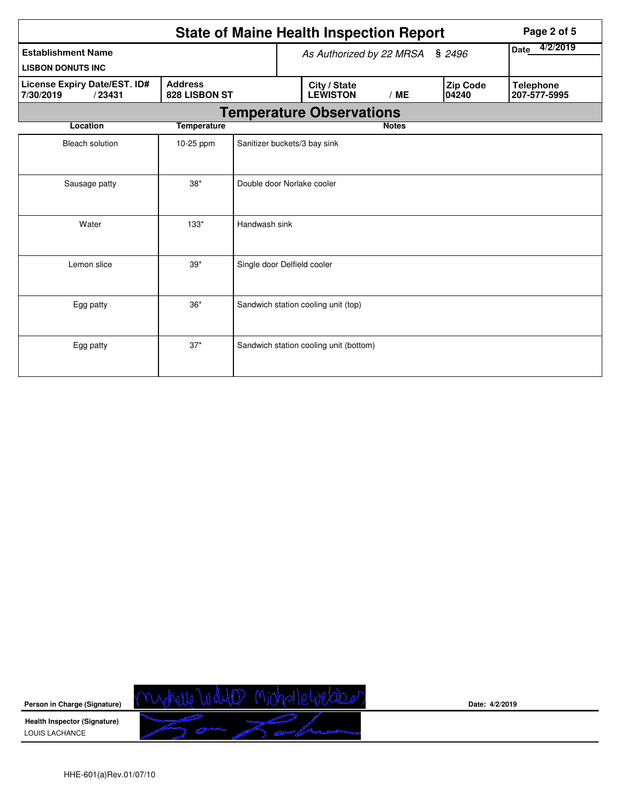|                                                      | Page 2 of 5                     |                                 |                         |                                        |              |                          |                                  |
|------------------------------------------------------|---------------------------------|---------------------------------|-------------------------|----------------------------------------|--------------|--------------------------|----------------------------------|
| <b>Establishment Name</b>                            |                                 | As Authorized by 22 MRSA § 2496 | 4/2/2019<br><b>Date</b> |                                        |              |                          |                                  |
| <b>LISBON DONUTS INC</b>                             |                                 |                                 |                         |                                        |              |                          |                                  |
| License Expiry Date/EST. ID#<br>7/30/2019<br>/23431  | <b>Address</b><br>828 LISBON ST |                                 |                         | City / State<br><b>LEWISTON</b>        | /ME          | <b>Zip Code</b><br>04240 | <b>Telephone</b><br>207-577-5995 |
|                                                      |                                 |                                 |                         | <b>Temperature Observations</b>        |              |                          |                                  |
| Location                                             | <b>Temperature</b>              |                                 |                         |                                        | <b>Notes</b> |                          |                                  |
| <b>Bleach solution</b>                               | 10-25 ppm                       | Sanitizer buckets/3 bay sink    |                         |                                        |              |                          |                                  |
| $38*$<br>Double door Norlake cooler<br>Sausage patty |                                 |                                 |                         |                                        |              |                          |                                  |
| Water                                                | $133*$                          | Handwash sink                   |                         |                                        |              |                          |                                  |
| Lemon slice                                          | $39*$                           | Single door Delfield cooler     |                         |                                        |              |                          |                                  |
| $36*$<br>Egg patty                                   |                                 |                                 |                         | Sandwich station cooling unit (top)    |              |                          |                                  |
| Egg patty                                            | $37*$                           |                                 |                         | Sandwich station cooling unit (bottom) |              |                          |                                  |

mytrelle Wellen Michalle Webber **Person in Charge (Signature) Health Inspector (Signature)**  LOUIS LACHANCE

**Date: 4/2/2019**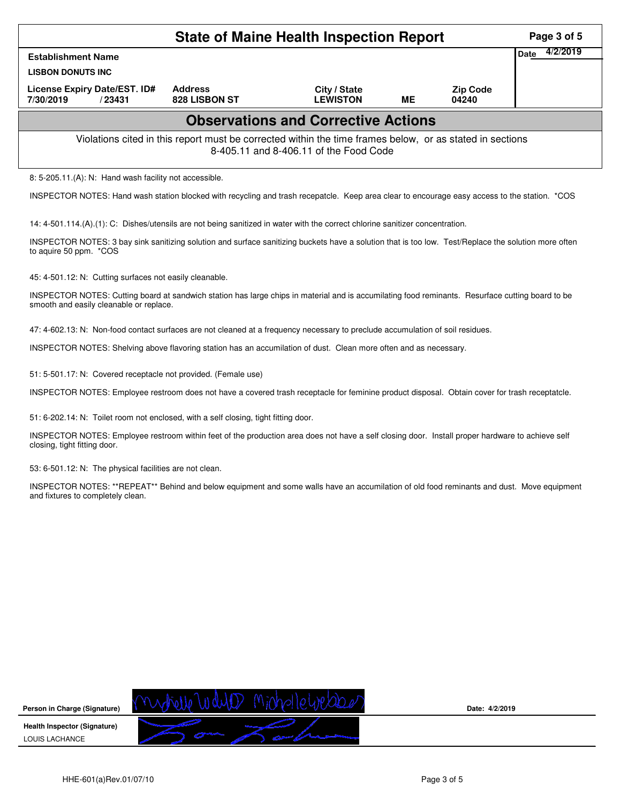|                                                                                                                                                                                             |                                                                                                          | <b>State of Maine Health Inspection Report</b> |           |                          | Page 3 of 5      |
|---------------------------------------------------------------------------------------------------------------------------------------------------------------------------------------------|----------------------------------------------------------------------------------------------------------|------------------------------------------------|-----------|--------------------------|------------------|
| <b>Establishment Name</b>                                                                                                                                                                   |                                                                                                          |                                                |           |                          | 4/2/2019<br>Date |
| <b>LISBON DONUTS INC</b>                                                                                                                                                                    |                                                                                                          |                                                |           |                          |                  |
| License Expiry Date/EST. ID#<br>7/30/2019<br>/23431                                                                                                                                         | <b>Address</b><br>828 LISBON ST                                                                          | City / State<br><b>LEWISTON</b>                | <b>ME</b> | <b>Zip Code</b><br>04240 |                  |
|                                                                                                                                                                                             |                                                                                                          | <b>Observations and Corrective Actions</b>     |           |                          |                  |
|                                                                                                                                                                                             | Violations cited in this report must be corrected within the time frames below, or as stated in sections | 8-405.11 and 8-406.11 of the Food Code         |           |                          |                  |
| 8: 5-205.11.(A): N: Hand wash facility not accessible.                                                                                                                                      |                                                                                                          |                                                |           |                          |                  |
| INSPECTOR NOTES: Hand wash station blocked with recycling and trash recepatcle. Keep area clear to encourage easy access to the station. *COS                                               |                                                                                                          |                                                |           |                          |                  |
| 14: 4-501.114.(A).(1): C: Dishes/utensils are not being sanitized in water with the correct chlorine sanitizer concentration.                                                               |                                                                                                          |                                                |           |                          |                  |
| INSPECTOR NOTES: 3 bay sink sanitizing solution and surface sanitizing buckets have a solution that is too low. Test/Replace the solution more often<br>to aquire 50 ppm. *COS              |                                                                                                          |                                                |           |                          |                  |
| 45: 4-501.12: N: Cutting surfaces not easily cleanable.                                                                                                                                     |                                                                                                          |                                                |           |                          |                  |
| INSPECTOR NOTES: Cutting board at sandwich station has large chips in material and is accumilating food reminants. Resurface cutting board to be<br>smooth and easily cleanable or replace. |                                                                                                          |                                                |           |                          |                  |
| 47: 4-602.13: N: Non-food contact surfaces are not cleaned at a frequency necessary to preclude accumulation of soil residues.                                                              |                                                                                                          |                                                |           |                          |                  |
| INSPECTOR NOTES: Shelving above flavoring station has an accumilation of dust. Clean more often and as necessary.                                                                           |                                                                                                          |                                                |           |                          |                  |
| 51: 5-501.17: N: Covered receptacle not provided. (Female use)                                                                                                                              |                                                                                                          |                                                |           |                          |                  |
| INSPECTOR NOTES: Employee restroom does not have a covered trash receptacle for feminine product disposal. Obtain cover for trash receptatcle.                                              |                                                                                                          |                                                |           |                          |                  |
| 51: 6-202.14: N: Toilet room not enclosed, with a self closing, tight fitting door.                                                                                                         |                                                                                                          |                                                |           |                          |                  |
| INSPECTOR NOTES: Employee restroom within feet of the production area does not have a self closing door. Install proper hardware to achieve self<br>closing, tight fitting door.            |                                                                                                          |                                                |           |                          |                  |
| 53: 6-501.12: N: The physical facilities are not clean.                                                                                                                                     |                                                                                                          |                                                |           |                          |                  |
| INSPECTOR NOTES: **REPEAT** Behind and below equipment and some walls have an accumilation of old food reminants and dust. Move equipment<br>and fixtures to completely clean.              |                                                                                                          |                                                |           |                          |                  |



**Date: 4/2/2019**

HHE-601(a)Rev.01/07/10 Page 3 of 5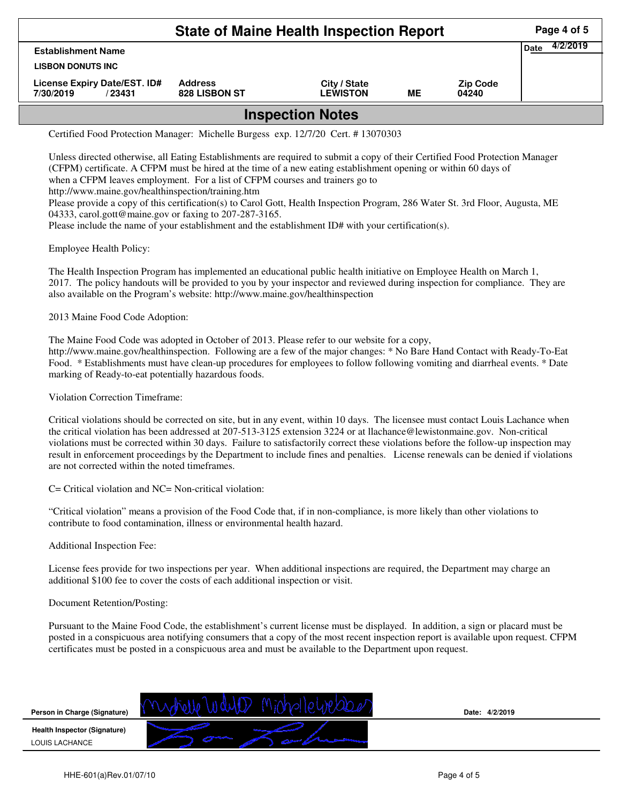| <b>State of Maine Health Inspection Report</b>       |                                 |                                 |    |                          |                         |  |  |  |  |
|------------------------------------------------------|---------------------------------|---------------------------------|----|--------------------------|-------------------------|--|--|--|--|
| <b>Establishment Name</b>                            |                                 |                                 |    |                          | 4/2/2019<br><b>Date</b> |  |  |  |  |
| <b>LISBON DONUTS INC.</b>                            |                                 |                                 |    |                          |                         |  |  |  |  |
| License Expiry Date/EST. ID#<br>7/30/2019<br>/ 23431 | <b>Address</b><br>828 LISBON ST | City / State<br><b>LEWISTON</b> | MЕ | <b>Zip Code</b><br>04240 |                         |  |  |  |  |
| مملماة ومناعمه ومما                                  |                                 |                                 |    |                          |                         |  |  |  |  |

## **Inspection Notes**

Certified Food Protection Manager: Michelle Burgess exp. 12/7/20 Cert. # 13070303

Unless directed otherwise, all Eating Establishments are required to submit a copy of their Certified Food Protection Manager (CFPM) certificate. A CFPM must be hired at the time of a new eating establishment opening or within 60 days of when a CFPM leaves employment. For a list of CFPM courses and trainers go to http://www.maine.gov/healthinspection/training.htm Please provide a copy of this certification(s) to Carol Gott, Health Inspection Program, 286 Water St. 3rd Floor, Augusta, ME 04333, carol.gott@maine.gov or faxing to 207-287-3165.

Please include the name of your establishment and the establishment ID# with your certification(s).

Employee Health Policy:

The Health Inspection Program has implemented an educational public health initiative on Employee Health on March 1, 2017. The policy handouts will be provided to you by your inspector and reviewed during inspection for compliance. They are also available on the Program's website: http://www.maine.gov/healthinspection

2013 Maine Food Code Adoption:

The Maine Food Code was adopted in October of 2013. Please refer to our website for a copy, http://www.maine.gov/healthinspection. Following are a few of the major changes: \* No Bare Hand Contact with Ready-To-Eat Food. \* Establishments must have clean-up procedures for employees to follow following vomiting and diarrheal events. \* Date marking of Ready-to-eat potentially hazardous foods.

Violation Correction Timeframe:

Critical violations should be corrected on site, but in any event, within 10 days. The licensee must contact Louis Lachance when the critical violation has been addressed at 207-513-3125 extension 3224 or at llachance@lewistonmaine.gov. Non-critical violations must be corrected within 30 days. Failure to satisfactorily correct these violations before the follow-up inspection may result in enforcement proceedings by the Department to include fines and penalties. License renewals can be denied if violations are not corrected within the noted timeframes.

C= Critical violation and NC= Non-critical violation:

"Critical violation" means a provision of the Food Code that, if in non-compliance, is more likely than other violations to contribute to food contamination, illness or environmental health hazard.

Additional Inspection Fee:

License fees provide for two inspections per year. When additional inspections are required, the Department may charge an additional \$100 fee to cover the costs of each additional inspection or visit.

## Document Retention/Posting:

Pursuant to the Maine Food Code, the establishment's current license must be displayed. In addition, a sign or placard must be posted in a conspicuous area notifying consumers that a copy of the most recent inspection report is available upon request. CFPM certificates must be posted in a conspicuous area and must be available to the Department upon request.



**Date: 4/2/2019**